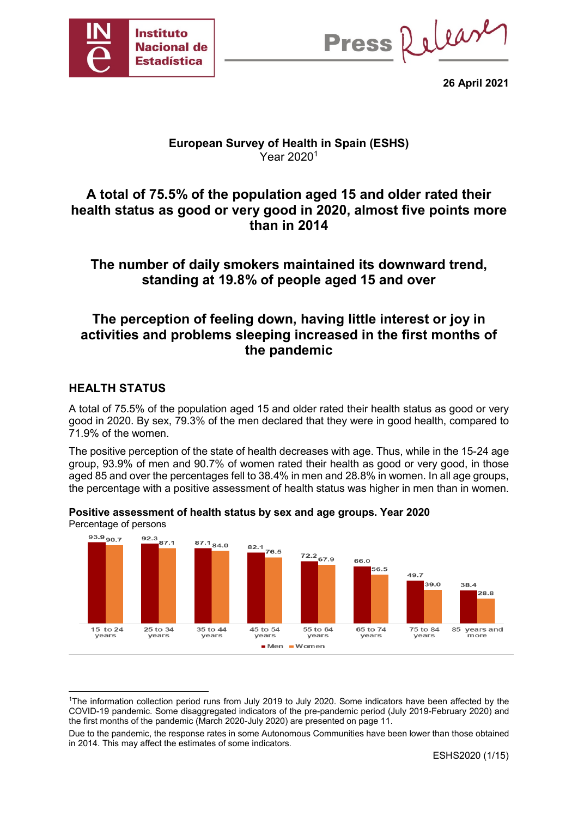

Press Release

**26 April 2021**

## **European Survey of Health in Spain (ESHS)**  Year 20201

# **A total of 75.5% of the population aged 15 and older rated their health status as good or very good in 2020, almost five points more than in 2014**

# **The number of daily smokers maintained its downward trend, standing at 19.8% of people aged 15 and over**

# **The perception of feeling down, having little interest or joy in activities and problems sleeping increased in the first months of the pandemic**

## **HEALTH STATUS**

A total of 75.5% of the population aged 15 and older rated their health status as good or very good in 2020. By sex, 79.3% of the men declared that they were in good health, compared to 71.9% of the women.

The positive perception of the state of health decreases with age. Thus, while in the 15-24 age group, 93.9% of men and 90.7% of women rated their health as good or very good, in those aged 85 and over the percentages fell to 38.4% in men and 28.8% in women. In all age groups, the percentage with a positive assessment of health status was higher in men than in women.



**Positive assessment of health status by sex and age groups. Year 2020** Percentage of persons

 <sup>1</sup>The information collection period runs from July 2019 to July 2020. Some indicators have been affected by the COVID-19 pandemic. Some disaggregated indicators of the pre-pandemic period (July 2019-February 2020) and the first months of the pandemic (March 2020-July 2020) are presented on page 11.

Due to the pandemic, the response rates in some Autonomous Communities have been lower than those obtained in 2014. This may affect the estimates of some indicators.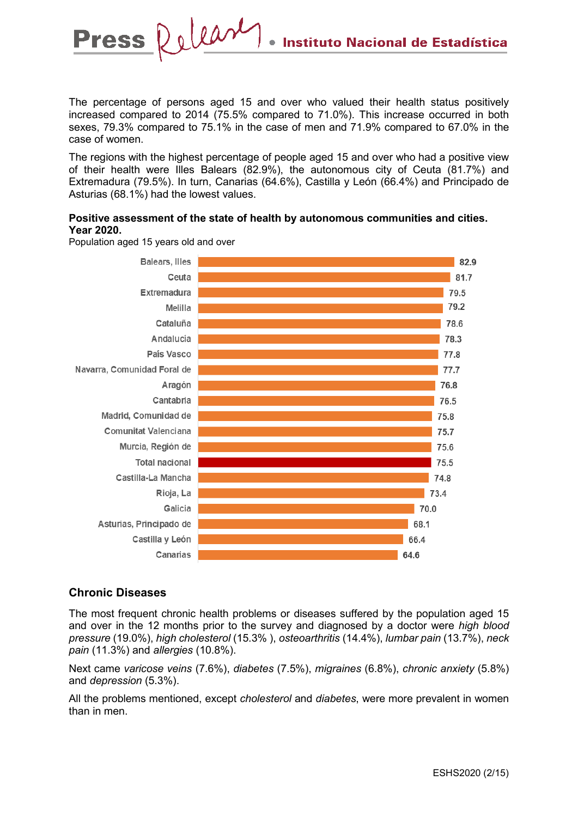The percentage of persons aged 15 and over who valued their health status positively increased compared to 2014 (75.5% compared to 71.0%). This increase occurred in both sexes, 79.3% compared to 75.1% in the case of men and 71.9% compared to 67.0% in the case of women.

The regions with the highest percentage of people aged 15 and over who had a positive view of their health were Illes Balears (82.9%), the autonomous city of Ceuta (81.7%) and Extremadura (79.5%). In turn, Canarias (64.6%), Castilla y León (66.4%) and Principado de Asturias (68.1%) had the lowest values.

#### **Positive assessment of the state of health by autonomous communities and cities. Year 2020.**



Population aged 15 years old and over

**Press** 

Release

### **Chronic Diseases**

The most frequent chronic health problems or diseases suffered by the population aged 15 and over in the 12 months prior to the survey and diagnosed by a doctor were *high blood pressure* (19.0%), *high cholesterol* (15.3% ), *osteoarthritis* (14.4%), *lumbar pain* (13.7%), *neck pain* (11.3%) and *allergies* (10.8%).

Next came *varicose veins* (7.6%), *diabetes* (7.5%), *migraines* (6.8%), *chronic anxiety* (5.8%) and *depression* (5.3%).

All the problems mentioned, except *cholesterol* and *diabetes*, were more prevalent in women than in men.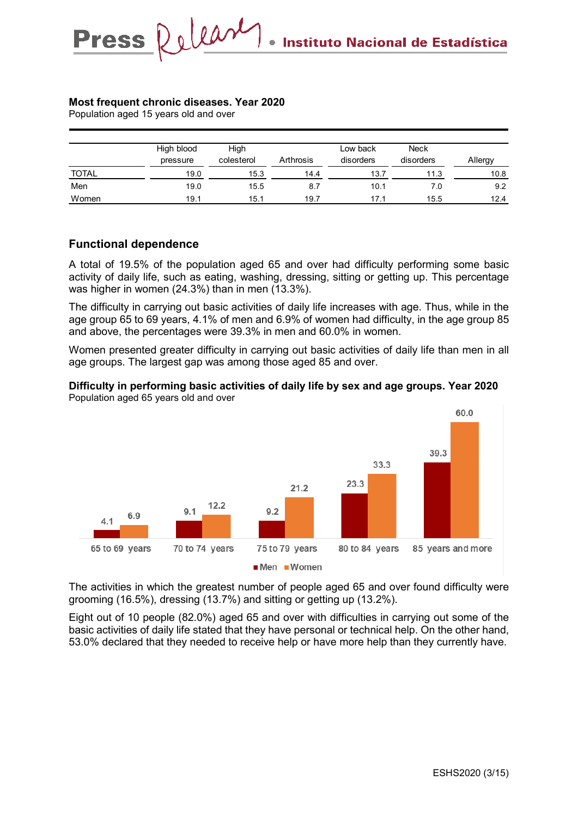#### **Most frequent chronic diseases. Year 2020**

Release

Population aged 15 years old and over

**Press** 

|              | High blood<br>pressure | High<br>colesterol | Arthrosis | Low back<br>disorders | <b>Neck</b><br>disorders | Allergy |
|--------------|------------------------|--------------------|-----------|-----------------------|--------------------------|---------|
| <b>TOTAL</b> | 19.0                   | 15.3               | 14.4      | 13.7                  | 11.3                     | 10.8    |
| Men          | 19.0                   | 15.5               | 8.7       | 10.1                  | 7.0                      | 9.2     |
| Women        | 19.1                   | 15.1               | 19.7      | 17.1                  | 15.5                     | 12.4    |

#### **Functional dependence**

A total of 19.5% of the population aged 65 and over had difficulty performing some basic activity of daily life, such as eating, washing, dressing, sitting or getting up. This percentage was higher in women (24.3%) than in men (13.3%).

The difficulty in carrying out basic activities of daily life increases with age. Thus, while in the age group 65 to 69 years, 4.1% of men and 6.9% of women had difficulty, in the age group 85 and above, the percentages were 39.3% in men and 60.0% in women.

Women presented greater difficulty in carrying out basic activities of daily life than men in all age groups. The largest gap was among those aged 85 and over.

#### **Difficulty in performing basic activities of daily life by sex and age groups. Year 2020** Population aged 65 years old and over



The activities in which the greatest number of people aged 65 and over found difficulty were grooming (16.5%), dressing (13.7%) and sitting or getting up (13.2%).

Eight out of 10 people (82.0%) aged 65 and over with difficulties in carrying out some of the basic activities of daily life stated that they have personal or technical help. On the other hand, 53.0% declared that they needed to receive help or have more help than they currently have.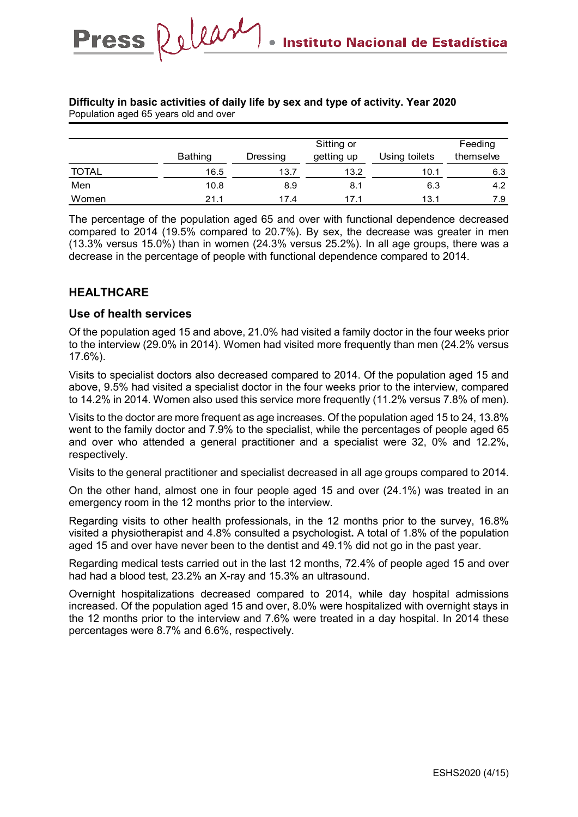| Population aged 65 years old and over |                |                       |            |               |           |  |  |  |
|---------------------------------------|----------------|-----------------------|------------|---------------|-----------|--|--|--|
|                                       |                |                       |            |               |           |  |  |  |
|                                       |                | Sitting or<br>Feeding |            |               |           |  |  |  |
|                                       | <b>Bathing</b> | Dressing              | getting up | Using toilets | themselve |  |  |  |
| <b>TOTAL</b>                          | 16.5           | 13.7                  | 13.2       | 10.1          | 6.3       |  |  |  |
| Men                                   | 10.8           | 8.9                   | 8.1        | 6.3           | 4.2       |  |  |  |
| Women                                 | 21.1           | 17.4                  | 17.1       | 13.1          | 7.9       |  |  |  |

#### **Difficulty in basic activities of daily life by sex and type of activity. Year 2020** Population aged 65 years old and over

The percentage of the population aged 65 and over with functional dependence decreased compared to 2014 (19.5% compared to 20.7%). By sex, the decrease was greater in men (13.3% versus 15.0%) than in women (24.3% versus 25.2%). In all age groups, there was a decrease in the percentage of people with functional dependence compared to 2014.

### **HEALTHCARE**

#### **Use of health services**

Press Relear

Of the population aged 15 and above, 21.0% had visited a family doctor in the four weeks prior to the interview (29.0% in 2014). Women had visited more frequently than men (24.2% versus 17.6%).

Visits to specialist doctors also decreased compared to 2014. Of the population aged 15 and above, 9.5% had visited a specialist doctor in the four weeks prior to the interview, compared to 14.2% in 2014. Women also used this service more frequently (11.2% versus 7.8% of men).

Visits to the doctor are more frequent as age increases. Of the population aged 15 to 24, 13.8% went to the family doctor and 7.9% to the specialist, while the percentages of people aged 65 and over who attended a general practitioner and a specialist were 32, 0% and 12.2%, respectively.

Visits to the general practitioner and specialist decreased in all age groups compared to 2014.

On the other hand, almost one in four people aged 15 and over (24.1%) was treated in an emergency room in the 12 months prior to the interview.

Regarding visits to other health professionals, in the 12 months prior to the survey, 16.8% visited a physiotherapist and 4.8% consulted a psychologist**.** A total of 1.8% of the population aged 15 and over have never been to the dentist and 49.1% did not go in the past year.

Regarding medical tests carried out in the last 12 months, 72.4% of people aged 15 and over had had a blood test, 23.2% an X-ray and 15.3% an ultrasound.

Overnight hospitalizations decreased compared to 2014, while day hospital admissions increased. Of the population aged 15 and over, 8.0% were hospitalized with overnight stays in the 12 months prior to the interview and 7.6% were treated in a day hospital. In 2014 these percentages were 8.7% and 6.6%, respectively.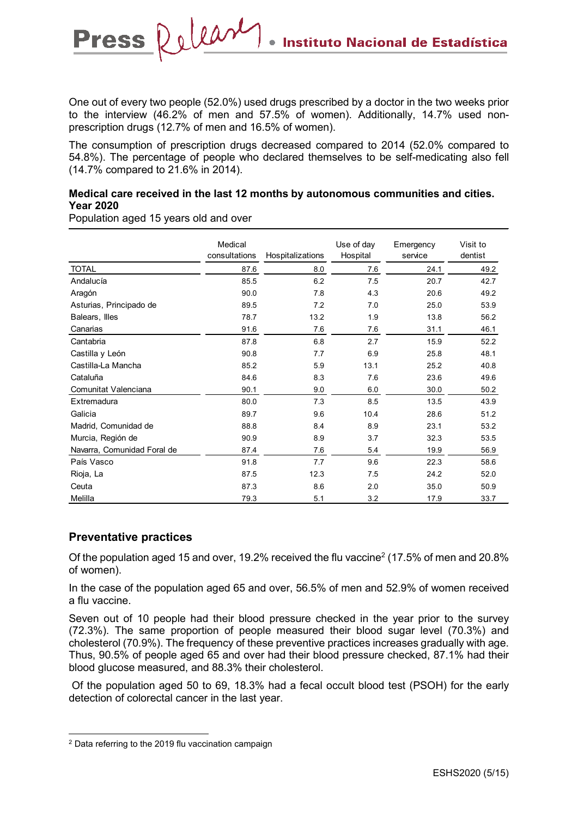One out of every two people (52.0%) used drugs prescribed by a doctor in the two weeks prior to the interview (46.2% of men and 57.5% of women). Additionally, 14.7% used nonprescription drugs (12.7% of men and 16.5% of women).

The consumption of prescription drugs decreased compared to 2014 (52.0% compared to 54.8%). The percentage of people who declared themselves to be self-medicating also fell (14.7% compared to 21.6% in 2014).

#### **Medical care received in the last 12 months by autonomous communities and cities. Year 2020**

Population aged 15 years old and over

**Press** 

Release

|                             | Medical<br>consultations | Hospitalizations | Use of day<br>Hospital | Emergency<br>service | Visit to<br>dentist |
|-----------------------------|--------------------------|------------------|------------------------|----------------------|---------------------|
| <b>TOTAL</b>                | 87.6                     | 8.0              | 7.6                    | 24.1                 | 49.2                |
| Andalucía                   | 85.5                     | 6.2              | 7.5                    | 20.7                 | 42.7                |
| Aragón                      | 90.0                     | 7.8              | 4.3                    | 20.6                 | 49.2                |
| Asturias, Principado de     | 89.5                     | 7.2              | 7.0                    | 25.0                 | 53.9                |
| Balears, Illes              | 78.7                     | 13.2             | 1.9                    | 13.8                 | 56.2                |
| Canarias                    | 91.6                     | 7.6              | 7.6                    | 31.1                 | 46.1                |
| Cantabria                   | 87.8                     | 6.8              | 2.7                    | 15.9                 | 52.2                |
| Castilla y León             | 90.8                     | 7.7              | 6.9                    | 25.8                 | 48.1                |
| Castilla-La Mancha          | 85.2                     | 5.9              | 13.1                   | 25.2                 | 40.8                |
| Cataluña                    | 84.6                     | 8.3              | 7.6                    | 23.6                 | 49.6                |
| Comunitat Valenciana        | 90.1                     | 9.0              | 6.0                    | 30.0                 | 50.2                |
| Extremadura                 | 80.0                     | 7.3              | 8.5                    | 13.5                 | 43.9                |
| Galicia                     | 89.7                     | 9.6              | 10.4                   | 28.6                 | 51.2                |
| Madrid, Comunidad de        | 88.8                     | 8.4              | 8.9                    | 23.1                 | 53.2                |
| Murcia, Región de           | 90.9                     | 8.9              | 3.7                    | 32.3                 | 53.5                |
| Navarra, Comunidad Foral de | 87.4                     | 7.6              | 5.4                    | 19.9                 | 56.9                |
| País Vasco                  | 91.8                     | 7.7              | 9.6                    | 22.3                 | 58.6                |
| Rioja, La                   | 87.5                     | 12.3             | 7.5                    | 24.2                 | 52.0                |
| Ceuta                       | 87.3                     | 8.6              | 2.0                    | 35.0                 | 50.9                |
| Melilla                     | 79.3                     | 5.1              | 3.2                    | 17.9                 | 33.7                |

### **Preventative practices**

Of the population aged 15 and over, 19.2% received the flu vaccine<sup>2</sup> (17.5% of men and 20.8% of women).

In the case of the population aged 65 and over, 56.5% of men and 52.9% of women received a flu vaccine.

Seven out of 10 people had their blood pressure checked in the year prior to the survey (72.3%). The same proportion of people measured their blood sugar level (70.3%) and cholesterol (70.9%). The frequency of these preventive practices increases gradually with age. Thus, 90.5% of people aged 65 and over had their blood pressure checked, 87.1% had their blood glucose measured, and 88.3% their cholesterol.

Of the population aged 50 to 69, 18.3% had a fecal occult blood test (PSOH) for the early detection of colorectal cancer in the last year.

 <sup>2</sup> Data referring to the 2019 flu vaccination campaign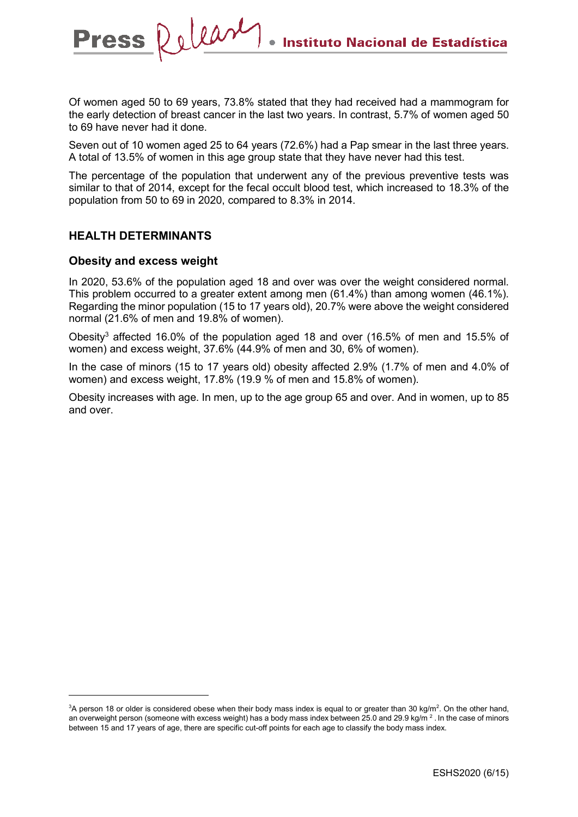Of women aged 50 to 69 years, 73.8% stated that they had received had a mammogram for the early detection of breast cancer in the last two years. In contrast, 5.7% of women aged 50 to 69 have never had it done.

Seven out of 10 women aged 25 to 64 years (72.6%) had a Pap smear in the last three years. A total of 13.5% of women in this age group state that they have never had this test.

The percentage of the population that underwent any of the previous preventive tests was similar to that of 2014, except for the fecal occult blood test, which increased to 18.3% of the population from 50 to 69 in 2020, compared to 8.3% in 2014.

#### **HEALTH DETERMINANTS**

Press Relear

#### **Obesity and excess weight**

In 2020, 53.6% of the population aged 18 and over was over the weight considered normal. This problem occurred to a greater extent among men (61.4%) than among women (46.1%). Regarding the minor population (15 to 17 years old), 20.7% were above the weight considered normal (21.6% of men and 19.8% of women).

Obesity3 affected 16.0% of the population aged 18 and over (16.5% of men and 15.5% of women) and excess weight, 37.6% (44.9% of men and 30, 6% of women).

In the case of minors (15 to 17 years old) obesity affected 2.9% (1.7% of men and 4.0% of women) and excess weight, 17.8% (19.9 % of men and 15.8% of women).

Obesity increases with age. In men, up to the age group 65 and over. And in women, up to 85 and over.

 $\frac{1}{3}$ A person 18 or older is considered obese when their body mass index is equal to or greater than 30 kg/m<sup>2</sup>. On the other hand, an overweight person (someone with excess weight) has a body mass index between 25.0 and 29.9 kg/m<sup>2</sup>. In the case of minors between 15 and 17 years of age, there are specific cut-off points for each age to classify the body mass index.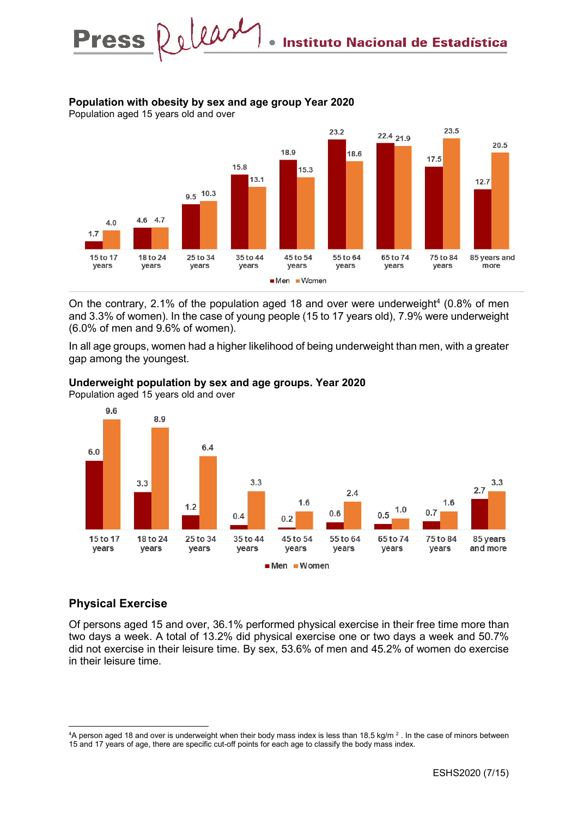### **Population with obesity by sex and age group Year 2020**

Press Relear



On the contrary, 2.1% of the population aged 18 and over were underweight<sup>4</sup> (0.8% of men and 3.3% of women). In the case of young people (15 to 17 years old), 7.9% were underweight (6.0% of men and 9.6% of women).

In all age groups, women had a higher likelihood of being underweight than men, with a greater gap among the youngest.



#### **Underweight population by sex and age groups. Year 2020**

Population aged 15 years old and over

### **Physical Exercise**

Of persons aged 15 and over, 36.1% performed physical exercise in their free time more than two days a week. A total of 13.2% did physical exercise one or two days a week and 50.7% did not exercise in their leisure time. By sex, 53.6% of men and 45.2% of women do exercise in their leisure time.

 $\frac{1}{4}$ <sup>4</sup>A person aged 18 and over is underweight when their body mass index is less than 18.5 kg/m  $^2$  . In the case of minors between 15 and 17 years of age, there are specific cut-off points for each age to classify the body mass index.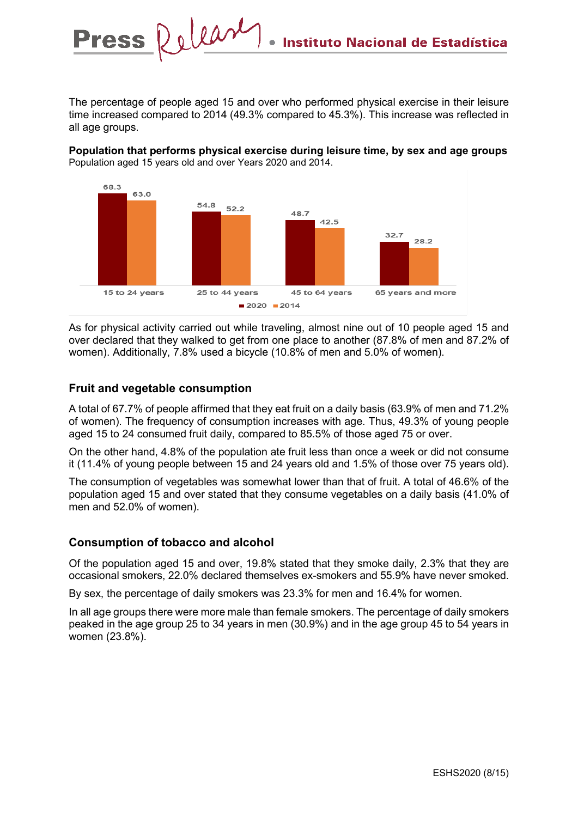The percentage of people aged 15 and over who performed physical exercise in their leisure time increased compared to 2014 (49.3% compared to 45.3%). This increase was reflected in all age groups.

**Population that performs physical exercise during leisure time, by sex and age groups**  Population aged 15 years old and over Years 2020 and 2014.



As for physical activity carried out while traveling, almost nine out of 10 people aged 15 and over declared that they walked to get from one place to another (87.8% of men and 87.2% of women). Additionally, 7.8% used a bicycle (10.8% of men and 5.0% of women).

### **Fruit and vegetable consumption**

**Press** 

A total of 67.7% of people affirmed that they eat fruit on a daily basis (63.9% of men and 71.2% of women). The frequency of consumption increases with age. Thus, 49.3% of young people aged 15 to 24 consumed fruit daily, compared to 85.5% of those aged 75 or over.

On the other hand, 4.8% of the population ate fruit less than once a week or did not consume it (11.4% of young people between 15 and 24 years old and 1.5% of those over 75 years old).

The consumption of vegetables was somewhat lower than that of fruit. A total of 46.6% of the population aged 15 and over stated that they consume vegetables on a daily basis (41.0% of men and 52.0% of women).

#### **Consumption of tobacco and alcohol**

Of the population aged 15 and over, 19.8% stated that they smoke daily, 2.3% that they are occasional smokers, 22.0% declared themselves ex-smokers and 55.9% have never smoked.

By sex, the percentage of daily smokers was 23.3% for men and 16.4% for women.

In all age groups there were more male than female smokers. The percentage of daily smokers peaked in the age group 25 to 34 years in men (30.9%) and in the age group 45 to 54 years in women (23.8%).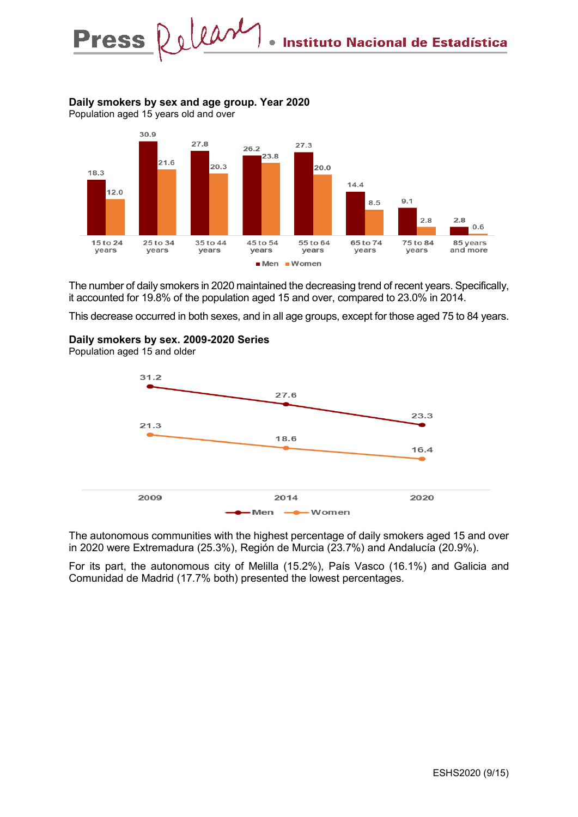## **Daily smokers by sex and age group. Year 2020**

Release

Population aged 15 years old and over

**Press** 



The number of daily smokers in 2020 maintained the decreasing trend of recent years. Specifically, it accounted for 19.8% of the population aged 15 and over, compared to 23.0% in 2014.

This decrease occurred in both sexes, and in all age groups, except for those aged 75 to 84 years.

#### **Daily smokers by sex. 2009-2020 Series**

Population aged 15 and older



The autonomous communities with the highest percentage of daily smokers aged 15 and over in 2020 were Extremadura (25.3%), Región de Murcia (23.7%) and Andalucía (20.9%).

For its part, the autonomous city of Melilla (15.2%), País Vasco (16.1%) and Galicia and Comunidad de Madrid (17.7% both) presented the lowest percentages.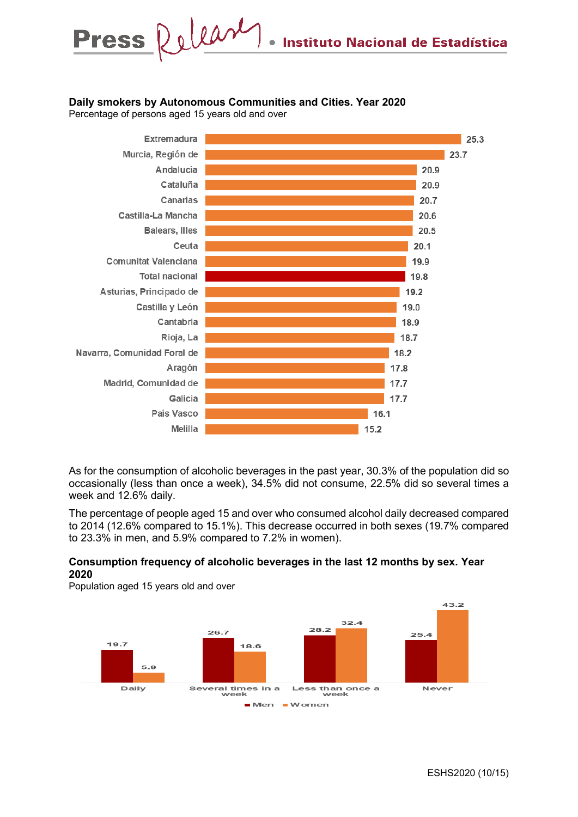### **Daily smokers by Autonomous Communities and Cities. Year 2020**

Percentage of persons aged 15 years old and over



As for the consumption of alcoholic beverages in the past year, 30.3% of the population did so occasionally (less than once a week), 34.5% did not consume, 22.5% did so several times a week and 12.6% daily.

The percentage of people aged 15 and over who consumed alcohol daily decreased compared to 2014 (12.6% compared to 15.1%). This decrease occurred in both sexes (19.7% compared to 23.3% in men, and 5.9% compared to 7.2% in women).

#### **Consumption frequency of alcoholic beverages in the last 12 months by sex. Year 2020**

Population aged 15 years old and over

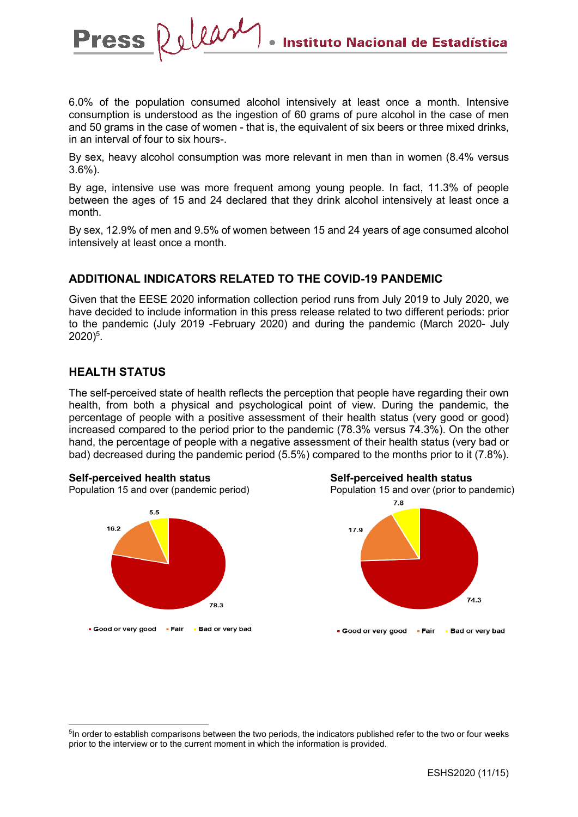6.0% of the population consumed alcohol intensively at least once a month. Intensive consumption is understood as the ingestion of 60 grams of pure alcohol in the case of men and 50 grams in the case of women - that is, the equivalent of six beers or three mixed drinks, in an interval of four to six hours-.

By sex, heavy alcohol consumption was more relevant in men than in women (8.4% versus 3.6%).

By age, intensive use was more frequent among young people. In fact, 11.3% of people between the ages of 15 and 24 declared that they drink alcohol intensively at least once a month.

By sex, 12.9% of men and 9.5% of women between 15 and 24 years of age consumed alcohol intensively at least once a month.

## **ADDITIONAL INDICATORS RELATED TO THE COVID-19 PANDEMIC**

Given that the EESE 2020 information collection period runs from July 2019 to July 2020, we have decided to include information in this press release related to two different periods: prior to the pandemic (July 2019 -February 2020) and during the pandemic (March 2020- July 2020)5 .

### **HEALTH STATUS**

The self-perceived state of health reflects the perception that people have regarding their own health, from both a physical and psychological point of view. During the pandemic, the percentage of people with a positive assessment of their health status (very good or good) increased compared to the period prior to the pandemic (78.3% versus 74.3%). On the other hand, the percentage of people with a negative assessment of their health status (very bad or bad) decreased during the pandemic period (5.5%) compared to the months prior to it (7.8%).



Press Release





<sup>&</sup>lt;sup>5</sup>In order to establish comparisons between the two periods, the indicators published refer to the two or four weeks prior to the interview or to the current moment in which the information is provided.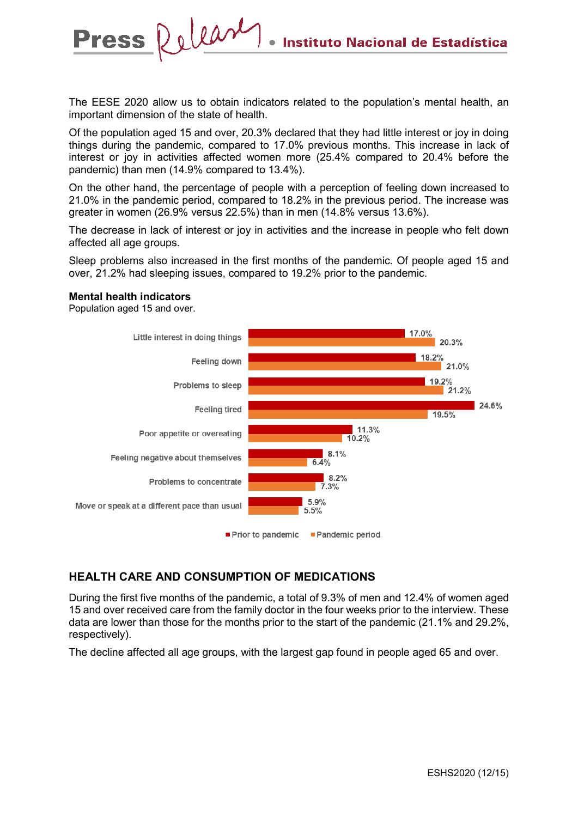The EESE 2020 allow us to obtain indicators related to the population's mental health, an important dimension of the state of health.

Release

Of the population aged 15 and over, 20.3% declared that they had little interest or joy in doing things during the pandemic, compared to 17.0% previous months. This increase in lack of interest or joy in activities affected women more (25.4% compared to 20.4% before the pandemic) than men (14.9% compared to 13.4%).

On the other hand, the percentage of people with a perception of feeling down increased to 21.0% in the pandemic period, compared to 18.2% in the previous period. The increase was greater in women (26.9% versus 22.5%) than in men (14.8% versus 13.6%).

The decrease in lack of interest or joy in activities and the increase in people who felt down affected all age groups.

Sleep problems also increased in the first months of the pandemic. Of people aged 15 and over, 21.2% had sleeping issues, compared to 19.2% prior to the pandemic.

#### **Mental health indicators**

**Press** 

Population aged 15 and over.



### **HEALTH CARE AND CONSUMPTION OF MEDICATIONS**

During the first five months of the pandemic, a total of 9.3% of men and 12.4% of women aged 15 and over received care from the family doctor in the four weeks prior to the interview. These data are lower than those for the months prior to the start of the pandemic (21.1% and 29.2%, respectively).

The decline affected all age groups, with the largest gap found in people aged 65 and over.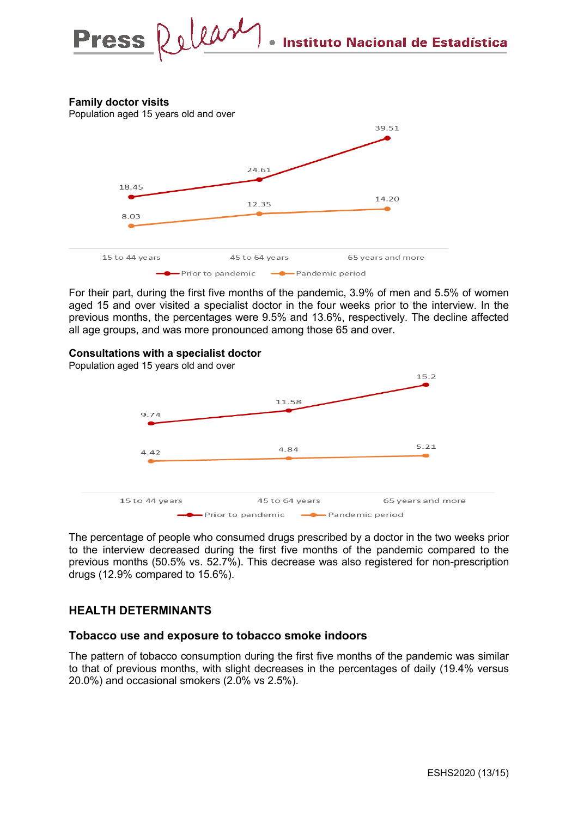### **Family doctor visits**

Population aged 15 years old and over



For their part, during the first five months of the pandemic, 3.9% of men and 5.5% of women aged 15 and over visited a specialist doctor in the four weeks prior to the interview. In the previous months, the percentages were 9.5% and 13.6%, respectively. The decline affected all age groups, and was more pronounced among those 65 and over.

#### **Consultations with a specialist doctor**



The percentage of people who consumed drugs prescribed by a doctor in the two weeks prior to the interview decreased during the first five months of the pandemic compared to the previous months (50.5% vs. 52.7%). This decrease was also registered for non-prescription drugs (12.9% compared to 15.6%).

### **HEALTH DETERMINANTS**

#### **Tobacco use and exposure to tobacco smoke indoors**

The pattern of tobacco consumption during the first five months of the pandemic was similar to that of previous months, with slight decreases in the percentages of daily (19.4% versus 20.0%) and occasional smokers (2.0% vs 2.5%).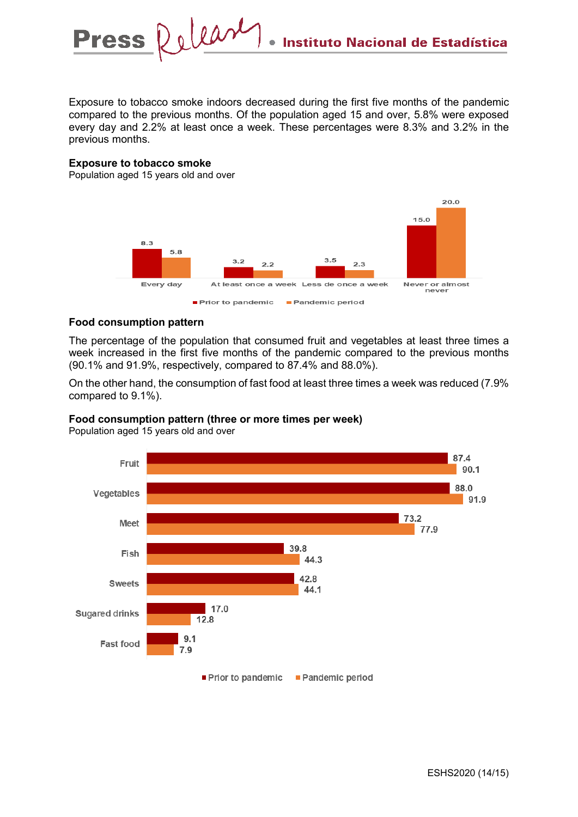Exposure to tobacco smoke indoors decreased during the first five months of the pandemic compared to the previous months. Of the population aged 15 and over, 5.8% were exposed every day and 2.2% at least once a week. These percentages were 8.3% and 3.2% in the previous months.

#### **Exposure to tobacco smoke**

Population aged 15 years old and over



#### **Food consumption pattern**

The percentage of the population that consumed fruit and vegetables at least three times a week increased in the first five months of the pandemic compared to the previous months (90.1% and 91.9%, respectively, compared to 87.4% and 88.0%).

On the other hand, the consumption of fast food at least three times a week was reduced (7.9% compared to 9.1%).

44.1

Pandemic period

# Fruit Vegetables 73.2 Meet 77.9 39.8 Fish 44.3 42.8 **Sweets**



17.0

Prior to pandemic

12.8

 $9.1$ 

 $7.9$ 

Population aged 15 years old and over

**Sugared drinks** 

Fast food

ESHS2020 (14/15)

87.4

88.0

90.1

91.9